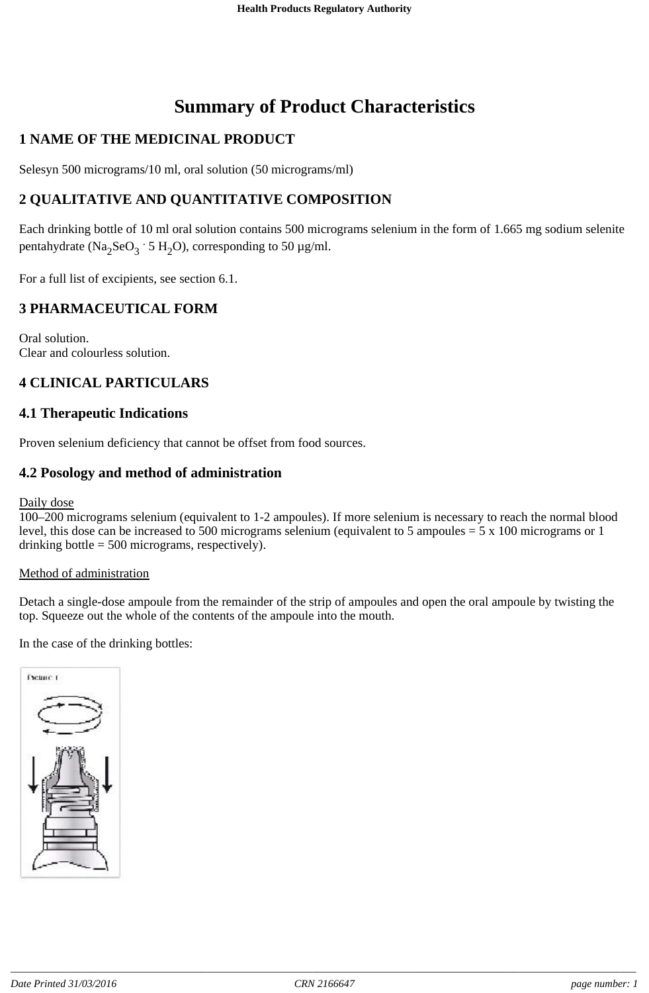# **Summary of Product Characteristics**

# **1 NAME OF THE MEDICINAL PRODUCT**

Selesyn 500 micrograms/10 ml, oral solution (50 micrograms/ml)

# **2 QUALITATIVE AND QUANTITATIVE COMPOSITION**

Each drinking bottle of 10 ml oral solution contains 500 micrograms selenium in the form of 1.665 mg sodium selenite pentahydrate (Na<sub>2</sub>SeO<sub>3</sub> · 5 H<sub>2</sub>O), corresponding to 50 µg/ml.

For a full list of excipients, see section 6.1.

# **3 PHARMACEUTICAL FORM**

Oral solution. Clear and colourless solution.

# **4 CLINICAL PARTICULARS**

### **4.1 Therapeutic Indications**

Proven selenium deficiency that cannot be offset from food sources.

### **4.2 Posology and method of administration**

Daily dose

100–200 micrograms selenium (equivalent to 1-2 ampoules). If more selenium is necessary to reach the normal blood level, this dose can be increased to 500 micrograms selenium (equivalent to 5 ampoules = 5 x 100 micrograms or 1 drinking bottle  $= 500$  micrograms, respectively).

#### Method of administration

Detach a single-dose ampoule from the remainder of the strip of ampoules and open the oral ampoule by twisting the top. Squeeze out the whole of the contents of the ampoule into the mouth.

In the case of the drinking bottles:

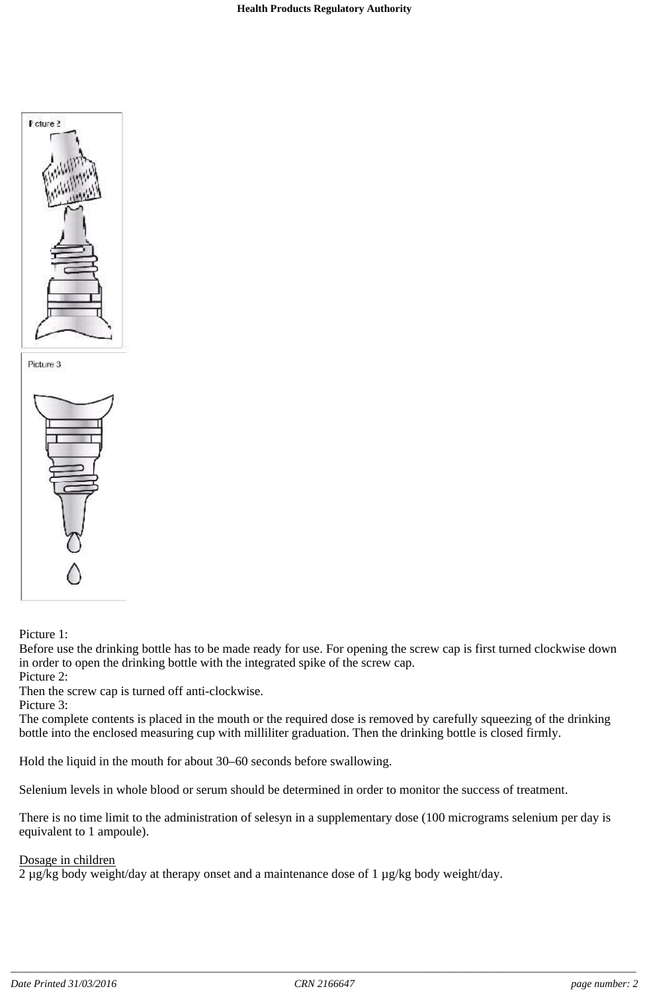



#### Picture 1:

Before use the drinking bottle has to be made ready for use. For opening the screw cap is first turned clockwise down in order to open the drinking bottle with the integrated spike of the screw cap.

Picture 2:

Then the screw cap is turned off anti-clockwise.

Picture 3:

The complete contents is placed in the mouth or the required dose is removed by carefully squeezing of the drinking bottle into the enclosed measuring cup with milliliter graduation. Then the drinking bottle is closed firmly.

Hold the liquid in the mouth for about 30–60 seconds before swallowing.

Selenium levels in whole blood or serum should be determined in order to monitor the success of treatment.

There is no time limit to the administration of selesyn in a supplementary dose (100 micrograms selenium per day is equivalent to 1 ampoule).

#### Dosage in children

2 µg/kg body weight/day at therapy onset and a maintenance dose of 1 µg/kg body weight/day.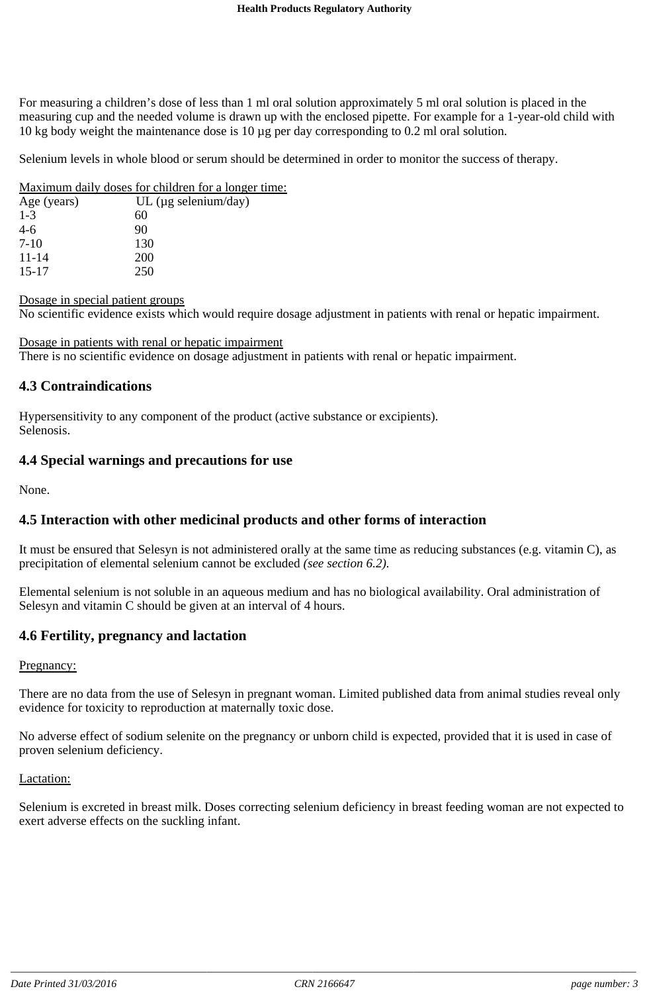For measuring a children's dose of less than 1 ml oral solution approximately 5 ml oral solution is placed in the measuring cup and the needed volume is drawn up with the enclosed pipette. For example for a 1-year-old child with 10 kg body weight the maintenance dose is 10 µg per day corresponding to 0.2 ml oral solution.

Selenium levels in whole blood or serum should be determined in order to monitor the success of therapy.

#### Maximum daily doses for children for a longer time:

| Age (years) | UL ( $\mu$ g selenium/day) |
|-------------|----------------------------|
| $1 - 3$     | 60                         |
| $4-6$       | 90                         |
| $7-10$      | 130                        |
| $11 - 14$   | <b>200</b>                 |
| $15 - 17$   | 250                        |
|             |                            |

#### Dosage in special patient groups

No scientific evidence exists which would require dosage adjustment in patients with renal or hepatic impairment.

Dosage in patients with renal or hepatic impairment There is no scientific evidence on dosage adjustment in patients with renal or hepatic impairment.

#### **4.3 Contraindications**

Hypersensitivity to any component of the product (active substance or excipients). Selenosis.

### **4.4 Special warnings and precautions for use**

None.

### **4.5 Interaction with other medicinal products and other forms of interaction**

It must be ensured that Selesyn is not administered orally at the same time as reducing substances (e.g. vitamin C), as precipitation of elemental selenium cannot be excluded *(see section 6.2).*

Elemental selenium is not soluble in an aqueous medium and has no biological availability. Oral administration of Selesyn and vitamin C should be given at an interval of 4 hours.

### **4.6 Fertility, pregnancy and lactation**

#### Pregnancy:

There are no data from the use of Selesyn in pregnant woman. Limited published data from animal studies reveal only evidence for toxicity to reproduction at maternally toxic dose.

No adverse effect of sodium selenite on the pregnancy or unborn child is expected, provided that it is used in case of proven selenium deficiency.

#### Lactation:

Selenium is excreted in breast milk. Doses correcting selenium deficiency in breast feeding woman are not expected to exert adverse effects on the suckling infant.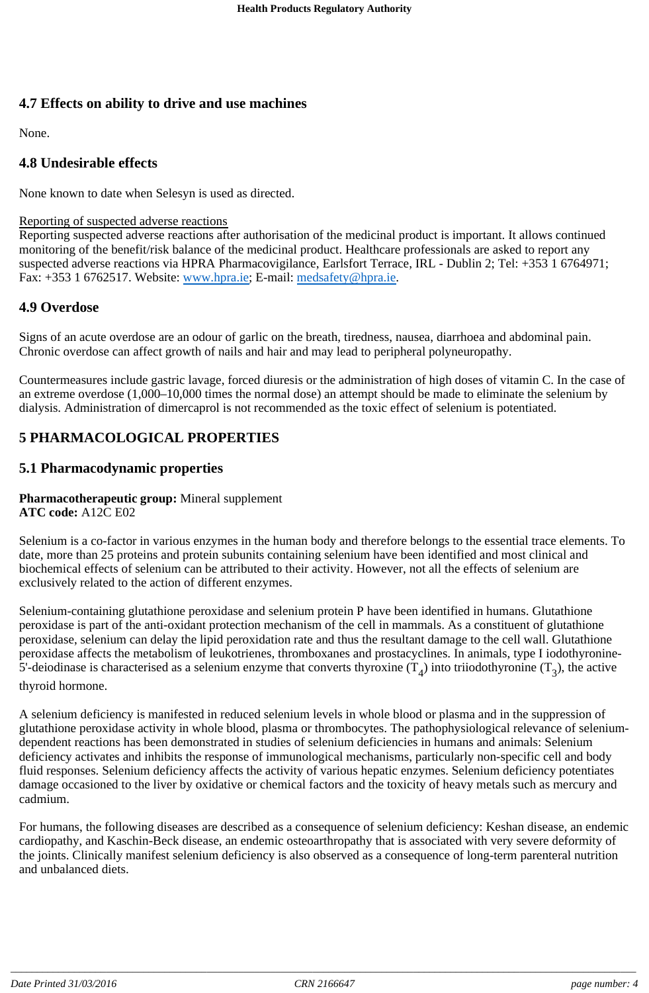# **4.7 Effects on ability to drive and use machines**

None.

# **4.8 Undesirable effects**

None known to date when Selesyn is used as directed.

#### Reporting of suspected adverse reactions

Reporting suspected adverse reactions after authorisation of the medicinal product is important. It allows continued monitoring of the benefit/risk balance of the medicinal product. Healthcare professionals are asked to report any suspected adverse reactions via HPRA Pharmacovigilance, Earlsfort Terrace, IRL - Dublin 2; Tel: +353 1 6764971; Fax: +353 1 6762517. Website: www.hpra.ie; E-mail: medsafety@hpra.ie.

### **4.9 Overdose**

Signs of an acute overdose are an odour of garlic on the breath, tiredness, nausea, diarrhoea and abdominal pain. Chronic overdose can affect growth of nails and hair and may lead to peripheral polyneuropathy.

Countermeasures include gastric lavage, forced diuresis or the administration of high doses of vitamin C. In the case of an extreme overdose (1,000–10,000 times the normal dose) an attempt should be made to eliminate the selenium by dialysis. Administration of dimercaprol is not recommended as the toxic effect of selenium is potentiated.

# **5 PHARMACOLOGICAL PROPERTIES**

### **5.1 Pharmacodynamic properties**

# **Pharmacotherapeutic group:** Mineral supplement

**ATC code:** A12C E02

Selenium is a co-factor in various enzymes in the human body and therefore belongs to the essential trace elements. To date, more than 25 proteins and protein subunits containing selenium have been identified and most clinical and biochemical effects of selenium can be attributed to their activity. However, not all the effects of selenium are exclusively related to the action of different enzymes.

Selenium-containing glutathione peroxidase and selenium protein P have been identified in humans. Glutathione peroxidase is part of the anti-oxidant protection mechanism of the cell in mammals. As a constituent of glutathione peroxidase, selenium can delay the lipid peroxidation rate and thus the resultant damage to the cell wall. Glutathione peroxidase affects the metabolism of leukotrienes, thromboxanes and prostacyclines. In animals, type I iodothyronine-5'-deiodinase is characterised as a selenium enzyme that converts thyroxine  $(T_4)$  into triiodothyronine  $(T_2)$ , the active

thyroid hormone.

A selenium deficiency is manifested in reduced selenium levels in whole blood or plasma and in the suppression of glutathione peroxidase activity in whole blood, plasma or thrombocytes. The pathophysiological relevance of seleniumdependent reactions has been demonstrated in studies of selenium deficiencies in humans and animals: Selenium deficiency activates and inhibits the response of immunological mechanisms, particularly non-specific cell and body fluid responses. Selenium deficiency affects the activity of various hepatic enzymes. Selenium deficiency potentiates damage occasioned to the liver by oxidative or chemical factors and the toxicity of heavy metals such as mercury and cadmium.

For humans, the following diseases are described as a consequence of selenium deficiency: Keshan disease, an endemic cardiopathy, and Kaschin-Beck disease, an endemic osteoarthropathy that is associated with very severe deformity of the joints. Clinically manifest selenium deficiency is also observed as a consequence of long-term parenteral nutrition and unbalanced diets.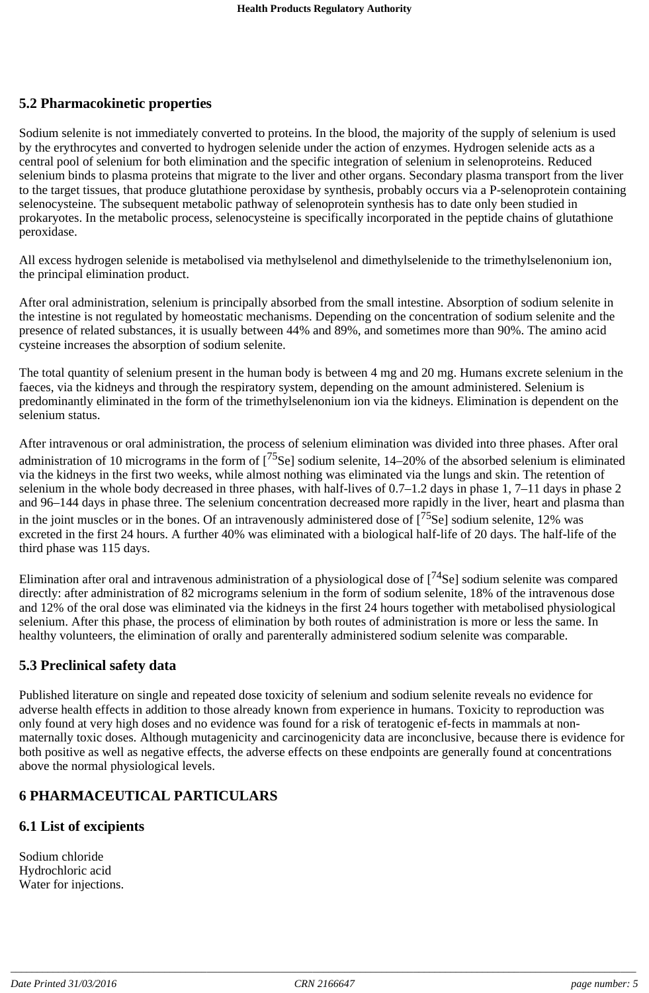# **5.2 Pharmacokinetic properties**

Sodium selenite is not immediately converted to proteins. In the blood, the majority of the supply of selenium is used by the erythrocytes and converted to hydrogen selenide under the action of enzymes. Hydrogen selenide acts as a central pool of selenium for both elimination and the specific integration of selenium in selenoproteins. Reduced selenium binds to plasma proteins that migrate to the liver and other organs. Secondary plasma transport from the liver to the target tissues, that produce glutathione peroxidase by synthesis, probably occurs via a P-selenoprotein containing selenocysteine. The subsequent metabolic pathway of selenoprotein synthesis has to date only been studied in prokaryotes. In the metabolic process, selenocysteine is specifically incorporated in the peptide chains of glutathione peroxidase.

All excess hydrogen selenide is metabolised via methylselenol and dimethylselenide to the trimethylselenonium ion, the principal elimination product.

After oral administration, selenium is principally absorbed from the small intestine. Absorption of sodium selenite in the intestine is not regulated by homeostatic mechanisms. Depending on the concentration of sodium selenite and the presence of related substances, it is usually between 44% and 89%, and sometimes more than 90%. The amino acid cysteine increases the absorption of sodium selenite.

The total quantity of selenium present in the human body is between 4 mg and 20 mg. Humans excrete selenium in the faeces, via the kidneys and through the respiratory system, depending on the amount administered. Selenium is predominantly eliminated in the form of the trimethylselenonium ion via the kidneys. Elimination is dependent on the selenium status.

After intravenous or oral administration, the process of selenium elimination was divided into three phases. After oral administration of 10 micrograms in the form of [<sup>75</sup>Se] sodium selenite, 14–20% of the absorbed selenium is eliminated via the kidneys in the first two weeks, while almost nothing was eliminated via the lungs and skin. The retention of selenium in the whole body decreased in three phases, with half-lives of 0.7–1.2 days in phase 1, 7–11 days in phase 2 and 96–144 days in phase three. The selenium concentration decreased more rapidly in the liver, heart and plasma than in the joint muscles or in the bones. Of an intravenously administered dose of  $[<sup>75</sup>Se]$  sodium selenite, 12% was excreted in the first 24 hours. A further 40% was eliminated with a biological half-life of 20 days. The half-life of the third phase was 115 days.

Elimination after oral and intravenous administration of a physiological dose of  $[74$ Se] sodium selenite was compared directly: after administration of 82 microgram*s* selenium in the form of sodium selenite, 18% of the intravenous dose and 12% of the oral dose was eliminated via the kidneys in the first 24 hours together with metabolised physiological selenium. After this phase, the process of elimination by both routes of administration is more or less the same. In healthy volunteers, the elimination of orally and parenterally administered sodium selenite was comparable.

### **5.3 Preclinical safety data**

Published literature on single and repeated dose toxicity of selenium and sodium selenite reveals no evidence for adverse health effects in addition to those already known from experience in humans. Toxicity to reproduction was only found at very high doses and no evidence was found for a risk of teratogenic ef-fects in mammals at nonmaternally toxic doses. Although mutagenicity and carcinogenicity data are inconclusive, because there is evidence for both positive as well as negative effects, the adverse effects on these endpoints are generally found at concentrations above the normal physiological levels.

# **6 PHARMACEUTICAL PARTICULARS**

### **6.1 List of excipients**

Sodium chloride Hydrochloric acid Water for injections.